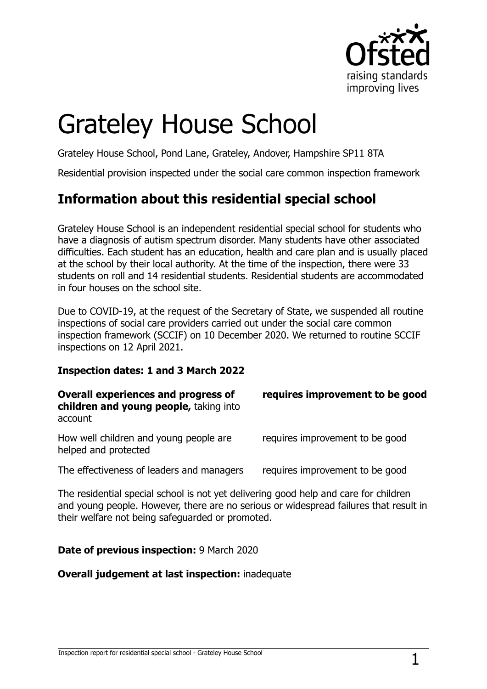

# Grateley House School

Grateley House School, Pond Lane, Grateley, Andover, Hampshire SP11 8TA

Residential provision inspected under the social care common inspection framework

# **Information about this residential special school**

Grateley House School is an independent residential special school for students who have a diagnosis of autism spectrum disorder. Many students have other associated difficulties. Each student has an education, health and care plan and is usually placed at the school by their local authority. At the time of the inspection, there were 33 students on roll and 14 residential students. Residential students are accommodated in four houses on the school site.

Due to COVID-19, at the request of the Secretary of State, we suspended all routine inspections of social care providers carried out under the social care common inspection framework (SCCIF) on 10 December 2020. We returned to routine SCCIF inspections on 12 April 2021.

#### **Inspection dates: 1 and 3 March 2022**

| <b>Overall experiences and progress of</b><br>children and young people, taking into<br>account | requires improvement to be good |
|-------------------------------------------------------------------------------------------------|---------------------------------|
| How well children and young people are<br>helped and protected                                  | requires improvement to be good |
| The effectiveness of leaders and managers                                                       | requires improvement to be good |

The residential special school is not yet delivering good help and care for children and young people. However, there are no serious or widespread failures that result in their welfare not being safeguarded or promoted.

#### **Date of previous inspection:** 9 March 2020

#### **Overall judgement at last inspection:** inadequate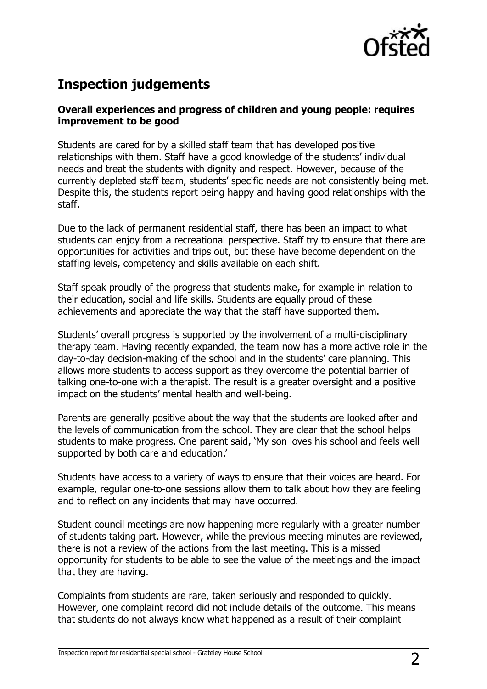

## **Inspection judgements**

#### **Overall experiences and progress of children and young people: requires improvement to be good**

Students are cared for by a skilled staff team that has developed positive relationships with them. Staff have a good knowledge of the students' individual needs and treat the students with dignity and respect. However, because of the currently depleted staff team, students' specific needs are not consistently being met. Despite this, the students report being happy and having good relationships with the staff.

Due to the lack of permanent residential staff, there has been an impact to what students can enjoy from a recreational perspective. Staff try to ensure that there are opportunities for activities and trips out, but these have become dependent on the staffing levels, competency and skills available on each shift.

Staff speak proudly of the progress that students make, for example in relation to their education, social and life skills. Students are equally proud of these achievements and appreciate the way that the staff have supported them.

Students' overall progress is supported by the involvement of a multi-disciplinary therapy team. Having recently expanded, the team now has a more active role in the day-to-day decision-making of the school and in the students' care planning. This allows more students to access support as they overcome the potential barrier of talking one-to-one with a therapist. The result is a greater oversight and a positive impact on the students' mental health and well-being.

Parents are generally positive about the way that the students are looked after and the levels of communication from the school. They are clear that the school helps students to make progress. One parent said, 'My son loves his school and feels well supported by both care and education.'

Students have access to a variety of ways to ensure that their voices are heard. For example, regular one-to-one sessions allow them to talk about how they are feeling and to reflect on any incidents that may have occurred.

Student council meetings are now happening more regularly with a greater number of students taking part. However, while the previous meeting minutes are reviewed, there is not a review of the actions from the last meeting. This is a missed opportunity for students to be able to see the value of the meetings and the impact that they are having.

Complaints from students are rare, taken seriously and responded to quickly. However, one complaint record did not include details of the outcome. This means that students do not always know what happened as a result of their complaint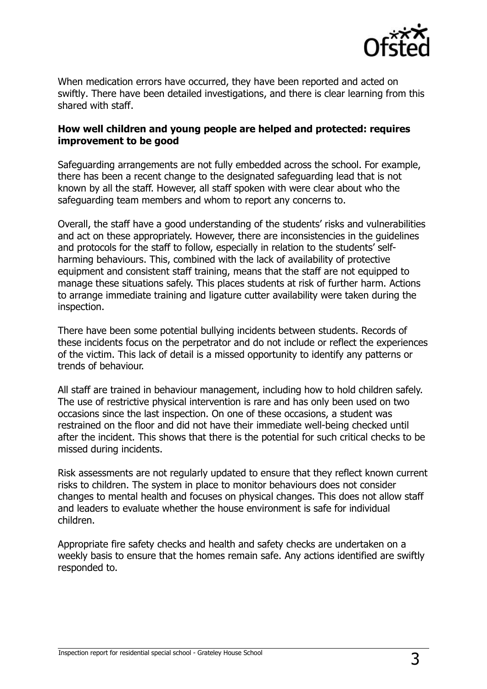

When medication errors have occurred, they have been reported and acted on swiftly. There have been detailed investigations, and there is clear learning from this shared with staff.

#### **How well children and young people are helped and protected: requires improvement to be good**

Safeguarding arrangements are not fully embedded across the school. For example, there has been a recent change to the designated safeguarding lead that is not known by all the staff. However, all staff spoken with were clear about who the safeguarding team members and whom to report any concerns to.

Overall, the staff have a good understanding of the students' risks and vulnerabilities and act on these appropriately. However, there are inconsistencies in the guidelines and protocols for the staff to follow, especially in relation to the students' selfharming behaviours. This, combined with the lack of availability of protective equipment and consistent staff training, means that the staff are not equipped to manage these situations safely. This places students at risk of further harm. Actions to arrange immediate training and ligature cutter availability were taken during the inspection.

There have been some potential bullying incidents between students. Records of these incidents focus on the perpetrator and do not include or reflect the experiences of the victim. This lack of detail is a missed opportunity to identify any patterns or trends of behaviour.

All staff are trained in behaviour management, including how to hold children safely. The use of restrictive physical intervention is rare and has only been used on two occasions since the last inspection. On one of these occasions, a student was restrained on the floor and did not have their immediate well-being checked until after the incident. This shows that there is the potential for such critical checks to be missed during incidents.

Risk assessments are not regularly updated to ensure that they reflect known current risks to children. The system in place to monitor behaviours does not consider changes to mental health and focuses on physical changes. This does not allow staff and leaders to evaluate whether the house environment is safe for individual children.

Appropriate fire safety checks and health and safety checks are undertaken on a weekly basis to ensure that the homes remain safe. Any actions identified are swiftly responded to.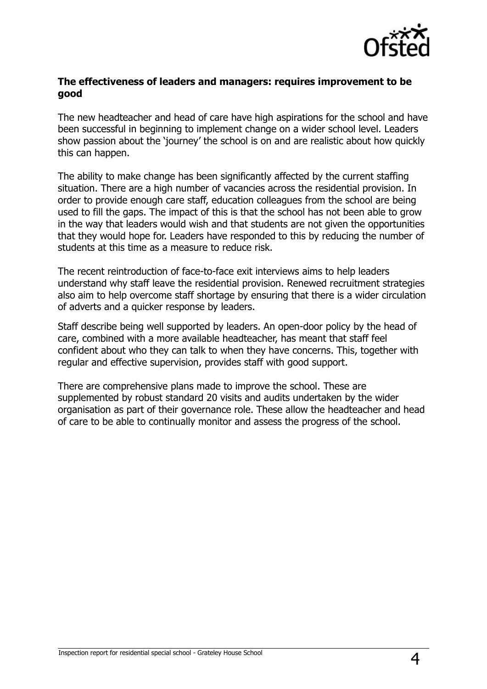

#### **The effectiveness of leaders and managers: requires improvement to be good**

The new headteacher and head of care have high aspirations for the school and have been successful in beginning to implement change on a wider school level. Leaders show passion about the 'journey' the school is on and are realistic about how quickly this can happen.

The ability to make change has been significantly affected by the current staffing situation. There are a high number of vacancies across the residential provision. In order to provide enough care staff, education colleagues from the school are being used to fill the gaps. The impact of this is that the school has not been able to grow in the way that leaders would wish and that students are not given the opportunities that they would hope for. Leaders have responded to this by reducing the number of students at this time as a measure to reduce risk.

The recent reintroduction of face-to-face exit interviews aims to help leaders understand why staff leave the residential provision. Renewed recruitment strategies also aim to help overcome staff shortage by ensuring that there is a wider circulation of adverts and a quicker response by leaders.

Staff describe being well supported by leaders. An open-door policy by the head of care, combined with a more available headteacher, has meant that staff feel confident about who they can talk to when they have concerns. This, together with regular and effective supervision, provides staff with good support.

There are comprehensive plans made to improve the school. These are supplemented by robust standard 20 visits and audits undertaken by the wider organisation as part of their governance role. These allow the headteacher and head of care to be able to continually monitor and assess the progress of the school.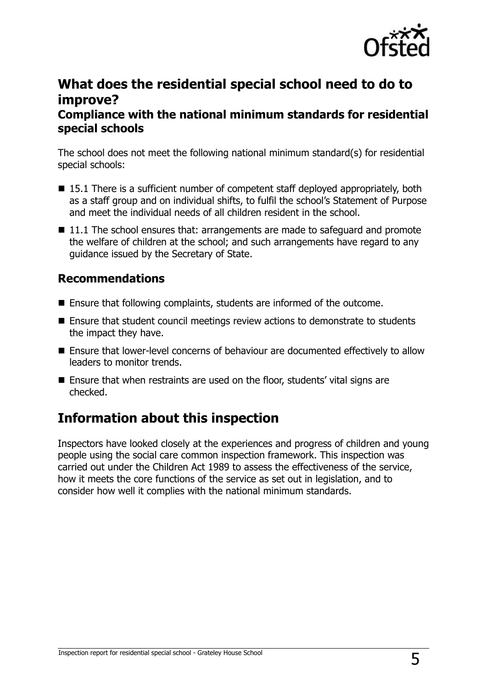

## **What does the residential special school need to do to improve?**

#### **Compliance with the national minimum standards for residential special schools**

The school does not meet the following national minimum standard(s) for residential special schools:

- 15.1 There is a sufficient number of competent staff deployed appropriately, both as a staff group and on individual shifts, to fulfil the school's Statement of Purpose and meet the individual needs of all children resident in the school.
- 11.1 The school ensures that: arrangements are made to safeguard and promote the welfare of children at the school; and such arrangements have regard to any guidance issued by the Secretary of State.

### **Recommendations**

- Ensure that following complaints, students are informed of the outcome.
- Ensure that student council meetings review actions to demonstrate to students the impact they have.
- Ensure that lower-level concerns of behaviour are documented effectively to allow leaders to monitor trends.
- Ensure that when restraints are used on the floor, students' vital signs are checked.

# **Information about this inspection**

Inspectors have looked closely at the experiences and progress of children and young people using the social care common inspection framework. This inspection was carried out under the Children Act 1989 to assess the effectiveness of the service, how it meets the core functions of the service as set out in legislation, and to consider how well it complies with the national minimum standards.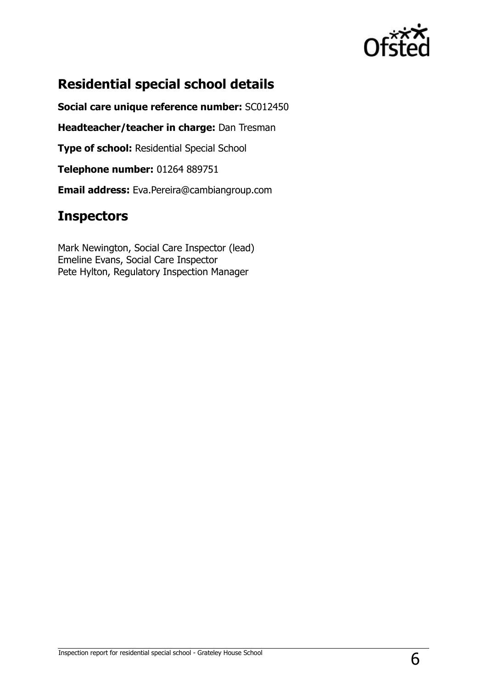

# **Residential special school details**

**Social care unique reference number:** SC012450

**Headteacher/teacher in charge:** Dan Tresman

**Type of school:** Residential Special School

**Telephone number:** 01264 889751

**Email address:** Eva.Pereira@cambiangroup.com

## **Inspectors**

Mark Newington, Social Care Inspector (lead) Emeline Evans, Social Care Inspector Pete Hylton, Regulatory Inspection Manager